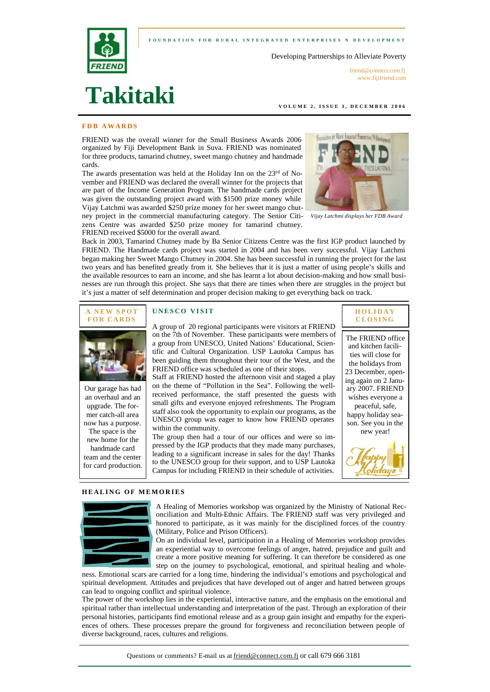### **FOUNDATION FOR RURAL INTEGRATED ENTERPRI SES N DEVELOPMENT**

Developing Partnerships to Alleviate Poverty



friend@connect.com.fi www.fijifriend.com

#### **VOLUME 2, ISSUE 3, D ECEMBER 2006**

# **FDB AWARDS**

**Takitaki**

FRIEND was the overall winner for the Small Business Awards 2006 organized by Fiji Development Bank in Suva. FRIEND was nominated for three products, tamarind chutney, sweet mango chutney and handmade cards.

The awards presentation was held at the Holiday Inn on the 23rd of November and FRIEND was declared the overall winner for the projects that are part of the Income Generation Program. The handmade cards project was given the outstanding project award with \$1500 prize money while Vijay Latchmi was awarded \$250 prize money for her sweet mango chutney project in the commercial manufacturing category. The Senior Citizens Centre was awarded \$250 prize money for tamarind chutney.



*Vijay Latchmi displays her FDB Award*

Back in 2003, Tamarind Chutney made by Ba Senior Citizens Centre was the first IGP product launched by FRIEND. The Handmade cards project was started in 2004 and has been very successful. Vijay Latchmi began making her Sweet Mango Chutney in 2004. She has been successful in running the project for the last two years and has benefited greatly from it. She believes that it is just a matter of using people's skills and the available resources to earn an income, and she has learnt a lot about decision-making and how small businesses are run through this project. She says that there are times when there are struggles in the project but it's just a matter of self determination and proper decision making to get everything back on track.





Our garage has had an overhaul and an upgrade. The former catch-all area now has a purpose. The space is the new home for the handmade card team and the center for card production.

### **UNESCO VISIT**

FRIEND received \$5000 for the overall award.

A group of 20 regional participants were visitors at FRIEND on the 7th of November. These participants were members of a group from UNESCO, United Nations' Educational, Scientific and Cultural Organization. USP Lautoka Campus has been guiding them throughout their tour of the West, and the FRIEND office was scheduled as one of their stops.

Staff at FRIEND hosted the afternoon visit and staged a play on the theme of "Pollution in the Sea". Following the wellreceived performance, the staff presented the guests with small gifts and everyone enjoyed refreshments. The Program staff also took the opportunity to explain our programs, as the UNESCO group was eager to know how FRIEND operates within the community.

The group then had a tour of our offices and were so impressed by the IGP products that they made many purchases, leading to a significant increase in sales for the day! Thanks to the UNESCO group for their support, and to USP Lautoka Campus for including FRIEND in their schedule of activities.



The FRIEND office and kitchen facilities will close for the holidays from 23 December, opening again on 2 January 2007. FRIEND wishes everyone a peaceful, safe, happy holiday season. See you in the new year!



#### **HEALING OF MEMORIES**



A Healing of Memories workshop was organized by the Ministry of National Reconciliation and Multi-Ethnic Affairs. The FRIEND staff was very privileged and honored to participate, as it was mainly for the disciplined forces of the country (Military, Police and Prison Officers).

On an individual level, participation in a Healing of Memories workshop provides an experiential way to overcome feelings of anger, hatred, prejudice and guilt and create a more positive meaning for suffering. It can therefore be considered as one step on the journey to psychological, emotional, and spiritual healing and whole-

ness. Emotional scars are carried for a long time, hindering the individual's emotions and psychological and spiritual development. Attitudes and prejudices that have developed out of anger and hatred between groups can lead to ongoing conflict and spiritual violence.

The power of the workshop lies in the experiential, interactive nature, and the emphasis on the emotional and spiritual rather than intellectual understanding and interpretation of the past. Through an exploration of their personal histories, participants find emotional release and as a group gain insight and empathy for the experiences of others. These processes prepare the ground for forgiveness and reconciliation between people of diverse background, races, cultures and religions.